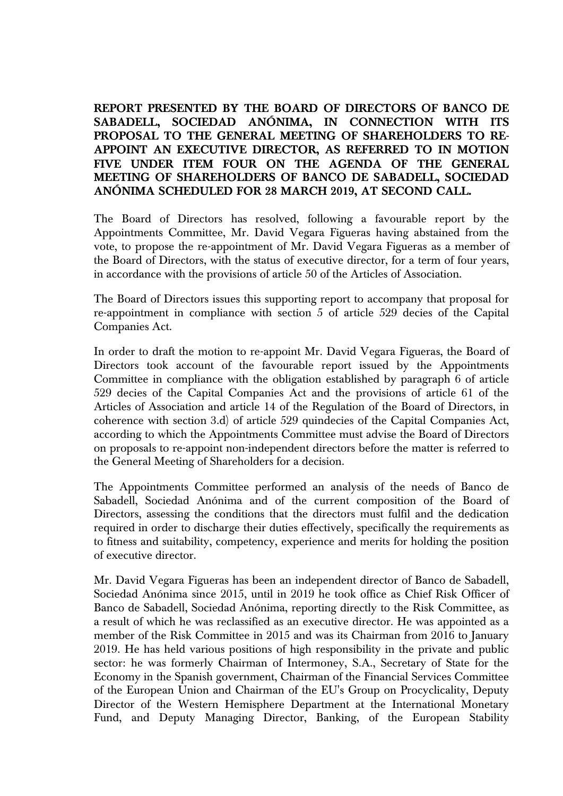## **REPORT PRESENTED BY THE BOARD OF DIRECTORS OF BANCO DE SABADELL, SOCIEDAD ANÓNIMA, IN CONNECTION WITH ITS PROPOSAL TO THE GENERAL MEETING OF SHAREHOLDERS TO RE-APPOINT AN EXECUTIVE DIRECTOR, AS REFERRED TO IN MOTION FIVE UNDER ITEM FOUR ON THE AGENDA OF THE GENERAL MEETING OF SHAREHOLDERS OF BANCO DE SABADELL, SOCIEDAD ANÓNIMA SCHEDULED FOR 28 MARCH 2019, AT SECOND CALL.**

The Board of Directors has resolved, following a favourable report by the Appointments Committee, Mr. David Vegara Figueras having abstained from the vote, to propose the re-appointment of Mr. David Vegara Figueras as a member of the Board of Directors, with the status of executive director, for a term of four years, in accordance with the provisions of article 50 of the Articles of Association.

The Board of Directors issues this supporting report to accompany that proposal for re-appointment in compliance with section 5 of article 529 decies of the Capital Companies Act.

In order to draft the motion to re-appoint Mr. David Vegara Figueras, the Board of Directors took account of the favourable report issued by the Appointments Committee in compliance with the obligation established by paragraph 6 of article 529 decies of the Capital Companies Act and the provisions of article 61 of the Articles of Association and article 14 of the Regulation of the Board of Directors, in coherence with section 3.d) of article 529 quindecies of the Capital Companies Act, according to which the Appointments Committee must advise the Board of Directors on proposals to re-appoint non-independent directors before the matter is referred to the General Meeting of Shareholders for a decision.

The Appointments Committee performed an analysis of the needs of Banco de Sabadell, Sociedad Anónima and of the current composition of the Board of Directors, assessing the conditions that the directors must fulfil and the dedication required in order to discharge their duties effectively, specifically the requirements as to fitness and suitability, competency, experience and merits for holding the position of executive director.

Mr. David Vegara Figueras has been an independent director of Banco de Sabadell, Sociedad Anónima since 2015, until in 2019 he took office as Chief Risk Officer of Banco de Sabadell, Sociedad Anónima, reporting directly to the Risk Committee, as a result of which he was reclassified as an executive director. He was appointed as a member of the Risk Committee in 2015 and was its Chairman from 2016 to January 2019. He has held various positions of high responsibility in the private and public sector: he was formerly Chairman of Intermoney, S.A., Secretary of State for the Economy in the Spanish government, Chairman of the Financial Services Committee of the European Union and Chairman of the EU's Group on Procyclicality, Deputy Director of the Western Hemisphere Department at the International Monetary Fund, and Deputy Managing Director, Banking, of the European Stability